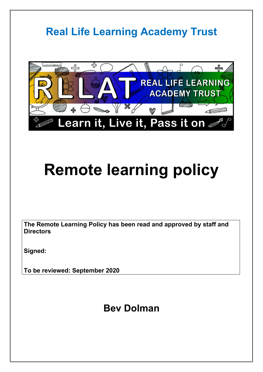## **Real Life Learning Academy Trust** monumentation 띿  $\circ$ **D**<br>Biliman REAL LIFE LEARNING **ACADEMY TRUST**  $\mathbb{Z}$ Learn it, Live it, Pass it on  $\epsilon$

# **Remote learning policy**

**The Remote Learning Policy has been read and approved by staff and Directors**

**Signed:**

**To be reviewed: September 2020**

### **Bev Dolman**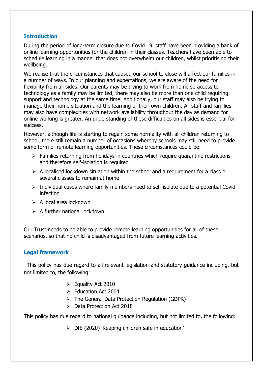#### **Introduction**

During the period of long-term closure due to Covid 19, staff have been providing a bank of online learning opportunities for the children in their classes. Teachers have been able to schedule learning in a manner that does not overwhelm our children, whilst prioritising their wellbeing.

We realise that the circumstances that caused our school to close will affect our families in a number of ways. In our planning and expectations, we are aware of the need for flexibility from all sides. Our parents may be trying to work from home so access to technology as a family may be limited, there may also be more than one child requiring support and technology at the same time. Additionally, our staff may also be trying to manage their home situation and the learning of their own children. All staff and families may also have complexities with network availability throughout the day as demand for online working is greater. An understanding of these difficulties on all sides is essential for success.

However, although life is starting to regain some normality with all children returning to school, there still remain a number of occasions whereby schools may still need to provide some form of remote learning opportunities. These circumstances could be:

- $\triangleright$  Families returning from holidays in countries which require quarantine restrictions and therefore self-isolation is required
- $\triangleright$  A localised lockdown situation within the school and a requirement for a class or several classes to remain at home
- $\triangleright$  Individual cases where family members need to self-isolate due to a potential Covid infection
- $\triangleright$  A local area lockdown
- $\triangleright$  A further national lockdown

Our Trust needs to be able to provide remote learning opportunities for all of these scenarios, so that no child is disadvantaged from future learning activities.

#### **Legal framework**

 This policy has due regard to all relevant legislation and statutory guidance including, but not limited to, the following:

- $\triangleright$  Equality Act 2010
- ▶ Education Act 2004
- $\triangleright$  The General Data Protection Regulation (GDPR)
- $\triangleright$  Data Protection Act 2018

This policy has due regard to national guidance including, but not limited to, the following:

 $\triangleright$  DfE (2020) 'Keeping children safe in education'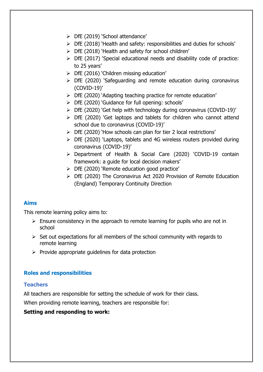- > DfE (2019) 'School attendance'
- $\triangleright$  DfE (2018) 'Health and safety: responsibilities and duties for schools'
- $\triangleright$  DfE (2018) 'Health and safety for school children'
- $\triangleright$  DfE (2017) 'Special educational needs and disability code of practice: to 25 years'
- $\triangleright$  DfE (2016) 'Children missing education'
- $\triangleright$  DfE (2020) 'Safeguarding and remote education during coronavirus (COVID-19)'
- DfE (2020) 'Adapting teaching practice for remote education'
- > DfE (2020) 'Guidance for full opening: schools'
- $\triangleright$  DfE (2020) 'Get help with technology during coronavirus (COVID-19)'
- $\triangleright$  DfE (2020) 'Get laptops and tablets for children who cannot attend school due to coronavirus (COVID-19)'
- DfE (2020) 'How schools can plan for tier 2 local restrictions'
- $\triangleright$  DfE (2020) 'Laptops, tablets and 4G wireless routers provided during coronavirus (COVID-19)'
- Department of Health & Social Care (2020) 'COVID-19 contain framework: a guide for local decision makers'
- $\triangleright$  DfE (2020) 'Remote education good practice'
- DfE (2020) The Coronavirus Act 2020 Provision of Remote Education (England) Temporary Continuity Direction

#### **Aims**

This remote learning policy aims to:

- $\triangleright$  Ensure consistency in the approach to remote learning for pupils who are not in school
- $\triangleright$  Set out expectations for all members of the school community with regards to remote learning
- $\triangleright$  Provide appropriate guidelines for data protection

#### **Roles and responsibilities**

#### **Teachers**

All teachers are responsible for setting the schedule of work for their class.

When providing remote learning, teachers are responsible for:

#### **Setting and responding to work:**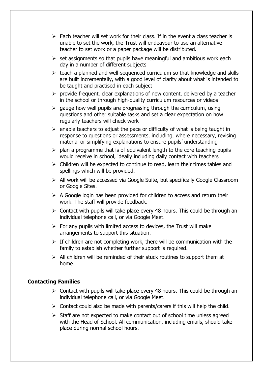- $\triangleright$  Each teacher will set work for their class. If in the event a class teacher is unable to set the work, the Trust will endeavour to use an alternative teacher to set work or a paper package will be distributed.
- $\triangleright$  set assignments so that pupils have meaningful and ambitious work each day in a number of different subjects
- $\triangleright$  teach a planned and well-sequenced curriculum so that knowledge and skills are built incrementally, with a good level of clarity about what is intended to be taught and practised in each subject
- $\triangleright$  provide frequent, clear explanations of new content, delivered by a teacher in the school or through high-quality curriculum resources or videos
- $\triangleright$  gauge how well pupils are progressing through the curriculum, using questions and other suitable tasks and set a clear expectation on how regularly teachers will check work
- $\triangleright$  enable teachers to adjust the pace or difficulty of what is being taught in response to questions or assessments, including, where necessary, revising material or simplifying explanations to ensure pupils' understanding
- $\triangleright$  plan a programme that is of equivalent length to the core teaching pupils would receive in school, ideally including daily contact with teachers
- $\triangleright$  Children will be expected to continue to read, learn their times tables and spellings which will be provided.
- All work will be accessed via Google Suite, but specifically Google Classroom or Google Sites.
- $\triangleright$  A Google login has been provided for children to access and return their work. The staff will provide feedback.
- $\geq$  Contact with pupils will take place every 48 hours. This could be through an individual telephone call, or via Google Meet.
- $\triangleright$  For any pupils with limited access to devices, the Trust will make arrangements to support this situation.
- $\triangleright$  If children are not completing work, there will be communication with the family to establish whether further support is required.
- $\triangleright$  All children will be reminded of their stuck routines to support them at home.

#### **Contacting Families**

- $\triangleright$  Contact with pupils will take place every 48 hours. This could be through an individual telephone call, or via Google Meet.
- $\triangleright$  Contact could also be made with parents/carers if this will help the child.
- $\triangleright$  Staff are not expected to make contact out of school time unless agreed with the Head of School. All communication, including emails, should take place during normal school hours.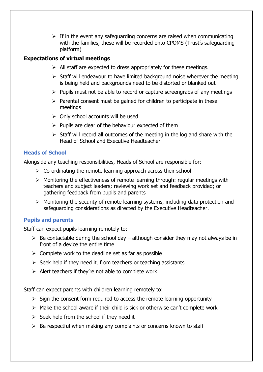$\triangleright$  If in the event any safeguarding concerns are raised when communicating with the families, these will be recorded onto CPOMS (Trust's safeguarding platform)

#### **Expectations of virtual meetings**

- $\triangleright$  All staff are expected to dress appropriately for these meetings.
- $\triangleright$  Staff will endeavour to have limited background noise wherever the meeting is being held and backgrounds need to be distorted or blanked out
- $\triangleright$  Pupils must not be able to record or capture screengrabs of any meetings
- $\triangleright$  Parental consent must be gained for children to participate in these meetings
- $\triangleright$  Only school accounts will be used
- $\triangleright$  Pupils are clear of the behaviour expected of them
- $\triangleright$  Staff will record all outcomes of the meeting in the log and share with the Head of School and Executive Headteacher

#### **Heads of School**

Alongside any teaching responsibilities, Heads of School are responsible for:

- $\triangleright$  Co-ordinating the remote learning approach across their school
- $\triangleright$  Monitoring the effectiveness of remote learning through: regular meetings with teachers and subject leaders; reviewing work set and feedback provided; or gathering feedback from pupils and parents
- Monitoring the security of remote learning systems, including data protection and safeguarding considerations as directed by the Executive Headteacher.

#### **Pupils and parents**

Staff can expect pupils learning remotely to:

- $\triangleright$  Be contactable during the school day although consider they may not always be in front of a device the entire time
- $\triangleright$  Complete work to the deadline set as far as possible
- $\triangleright$  Seek help if they need it, from teachers or teaching assistants
- $\triangleright$  Alert teachers if they're not able to complete work

Staff can expect parents with children learning remotely to:

- $\triangleright$  Sign the consent form required to access the remote learning opportunity
- $\triangleright$  Make the school aware if their child is sick or otherwise can't complete work
- $\triangleright$  Seek help from the school if they need it
- $\triangleright$  Be respectful when making any complaints or concerns known to staff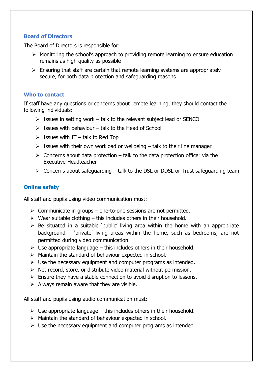#### **Board of Directors**

The Board of Directors is responsible for:

- $\triangleright$  Monitoring the school's approach to providing remote learning to ensure education remains as high quality as possible
- $\triangleright$  Ensuring that staff are certain that remote learning systems are appropriately secure, for both data protection and safeguarding reasons

#### **Who to contact**

If staff have any questions or concerns about remote learning, they should contact the following individuals:

- $\triangleright$  Issues in setting work talk to the relevant subject lead or SENCO
- $\triangleright$  Issues with behaviour talk to the Head of School
- $\triangleright$  Issues with IT talk to Red Top
- $\triangleright$  Issues with their own workload or wellbeing talk to their line manager
- $\triangleright$  Concerns about data protection talk to the data protection officer via the Executive Headteacher
- $\triangleright$  Concerns about safeguarding talk to the DSL or DDSL or Trust safeguarding team

#### **Online safety**

All staff and pupils using video communication must:

- $\triangleright$  Communicate in groups one-to-one sessions are not permitted.
- $\triangleright$  Wear suitable clothing this includes others in their household.
- $\triangleright$  Be situated in a suitable 'public' living area within the home with an appropriate background – 'private' living areas within the home, such as bedrooms, are not permitted during video communication.
- $\triangleright$  Use appropriate language this includes others in their household.
- $\triangleright$  Maintain the standard of behaviour expected in school.
- $\triangleright$  Use the necessary equipment and computer programs as intended.
- $\triangleright$  Not record, store, or distribute video material without permission.
- $\triangleright$  Ensure they have a stable connection to avoid disruption to lessons.
- $\triangleright$  Always remain aware that they are visible.

All staff and pupils using audio communication must:

- $\triangleright$  Use appropriate language this includes others in their household.
- $\triangleright$  Maintain the standard of behaviour expected in school.
- $\triangleright$  Use the necessary equipment and computer programs as intended.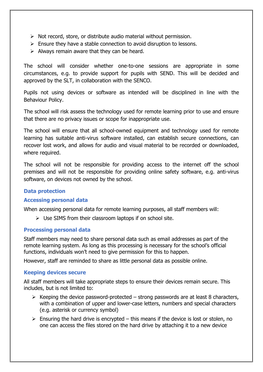- $\triangleright$  Not record, store, or distribute audio material without permission.
- $\triangleright$  Ensure they have a stable connection to avoid disruption to lessons.
- $\triangleright$  Always remain aware that they can be heard.

The school will consider whether one-to-one sessions are appropriate in some circumstances, e.g. to provide support for pupils with SEND. This will be decided and approved by the SLT, in collaboration with the SENCO.

Pupils not using devices or software as intended will be disciplined in line with the Behaviour Policy.

 The school will risk assess the technology used for remote learning prior to use and ensure that there are no privacy issues or scope for inappropriate use.

The school will ensure that all school-owned equipment and technology used for remote learning has suitable anti-virus software installed, can establish secure connections, can recover lost work, and allows for audio and visual material to be recorded or downloaded, where required.

The school will not be responsible for providing access to the internet off the school premises and will not be responsible for providing online safety software, e.g. anti-virus software, on devices not owned by the school.

#### **Data protection**

#### **Accessing personal data**

When accessing personal data for remote learning purposes, all staff members will:

 $\triangleright$  Use SIMS from their classroom laptops if on school site.

#### **Processing personal data**

Staff members may need to share personal data such as email addresses as part of the remote learning system. As long as this processing is necessary for the school's official functions, individuals won't need to give permission for this to happen.

However, staff are reminded to share as little personal data as possible online.

#### **Keeping devices secure**

All staff members will take appropriate steps to ensure their devices remain secure. This includes, but is not limited to:

- $\triangleright$  Keeping the device password-protected strong passwords are at least 8 characters, with a combination of upper and lower-case letters, numbers and special characters (e.g. asterisk or currency symbol)
- $\triangleright$  Ensuring the hard drive is encrypted this means if the device is lost or stolen, no one can access the files stored on the hard drive by attaching it to a new device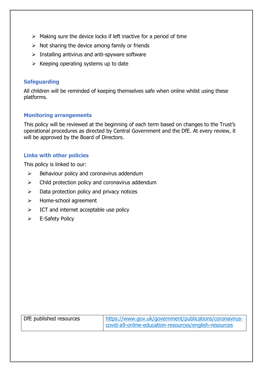- $\triangleright$  Making sure the device locks if left inactive for a period of time
- $\triangleright$  Not sharing the device among family or friends
- $\triangleright$  Installing antivirus and anti-spyware software
- $\triangleright$  Keeping operating systems up to date

#### **Safeguarding**

All children will be reminded of keeping themselves safe when online whilst using these platforms.

#### **Monitoring arrangements**

This policy will be reviewed at the beginning of each term based on changes to the Trust's operational procedures as directed by Central Government and the DfE. At every review, it will be approved by the Board of Directors.

#### **Links with other policies**

This policy is linked to our:

- $\triangleright$  Behaviour policy and coronavirus addendum
- $\triangleright$  Child protection policy and coronavirus addendum
- $\triangleright$  Data protection policy and privacy notices
- > Home-school agreement
- $\triangleright$  ICT and internet acceptable use policy
- E-Safety Policy

| DfE published resources | https://www.gov.uk/government/publications/coronavirus-<br>covid-a9-online-education-resources/english-resources |
|-------------------------|------------------------------------------------------------------------------------------------------------------|
|-------------------------|------------------------------------------------------------------------------------------------------------------|